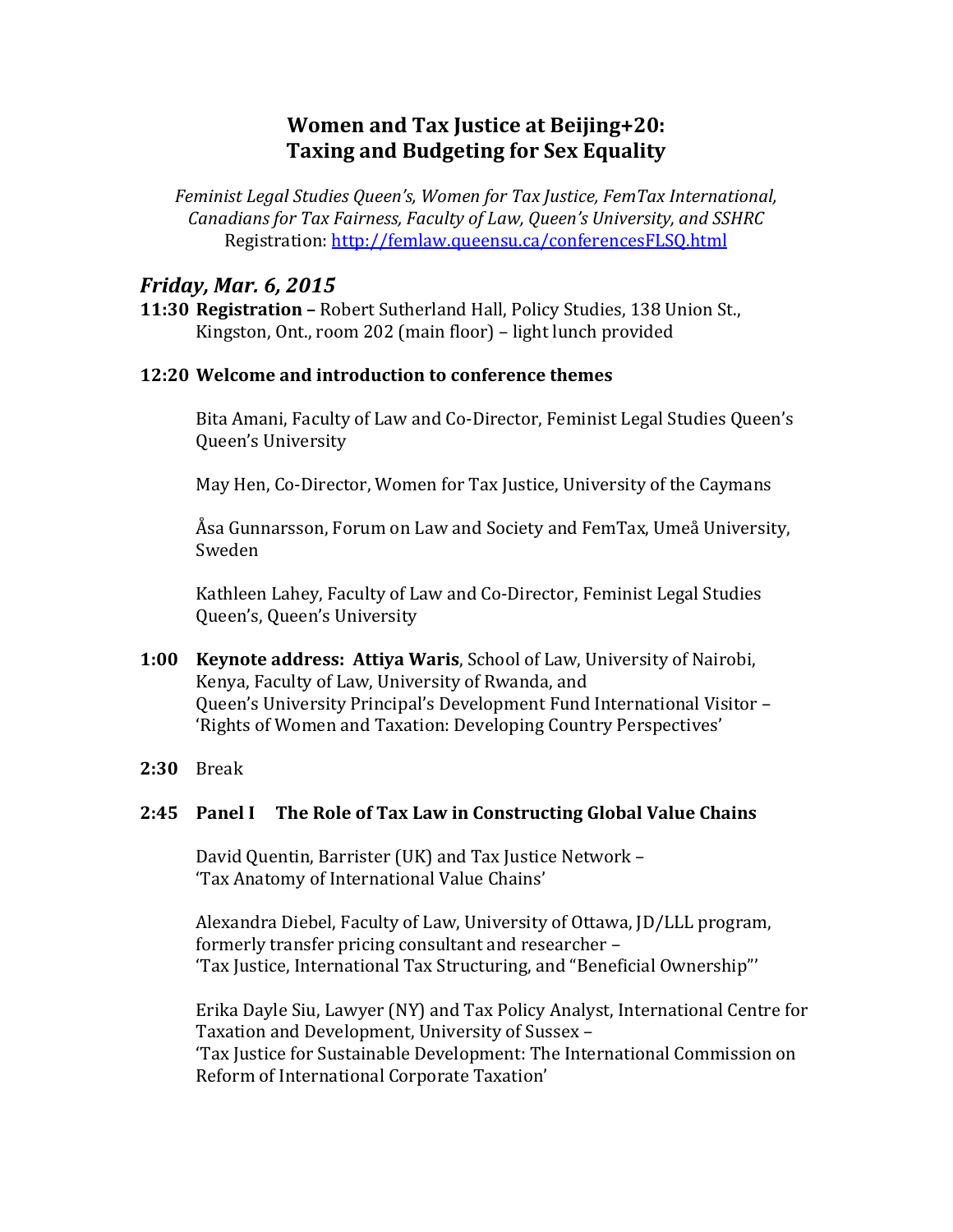# **Women and Tax Justice at Beijing+20: Taxing and Budgeting for Sex Equality**

*Feminist Legal Studies Queen's, Women for Tax Justice, FemTax International, Canadians for Tax Fairness, Faculty of Law, Queen's University, and SSHRC* Registration:<http://femlaw.queensu.ca/conferencesFLSQ.html>

# *Friday, Mar. 6, 2015*

**11:30 Registration –** Robert Sutherland Hall, Policy Studies, 138 Union St., Kingston, Ont., room 202 (main floor) – light lunch provided

# **12:20 Welcome and introduction to conference themes**

Bita Amani, Faculty of Law and Co-Director, Feminist Legal Studies Queen's Queen's University

May Hen, Co-Director, Women for Tax Justice, University of the Caymans

Åsa Gunnarsson, Forum on Law and Society and FemTax, Umeå University, Sweden

Kathleen Lahey, Faculty of Law and Co-Director, Feminist Legal Studies Queen's, Queen's University

- **1:00 Keynote address: Attiya Waris**, School of Law, University of Nairobi, Kenya, Faculty of Law, University of Rwanda, and Queen's University Principal's Development Fund International Visitor – 'Rights of Women and Taxation: Developing Country Perspectives'
- **2:30** Break

# **2:45 Panel I The Role of Tax Law in Constructing Global Value Chains**

David Quentin, Barrister (UK) and Tax Justice Network – 'Tax Anatomy of International Value Chains'

Alexandra Diebel, Faculty of Law, University of Ottawa, JD/LLL program, formerly transfer pricing consultant and researcher – 'Tax Justice, International Tax Structuring, and "Beneficial Ownership"'

Erika Dayle Siu, Lawyer (NY) and Tax Policy Analyst, International Centre for Taxation and Development, University of Sussex –

'Tax Justice for Sustainable Development: The International Commission on Reform of International Corporate Taxation'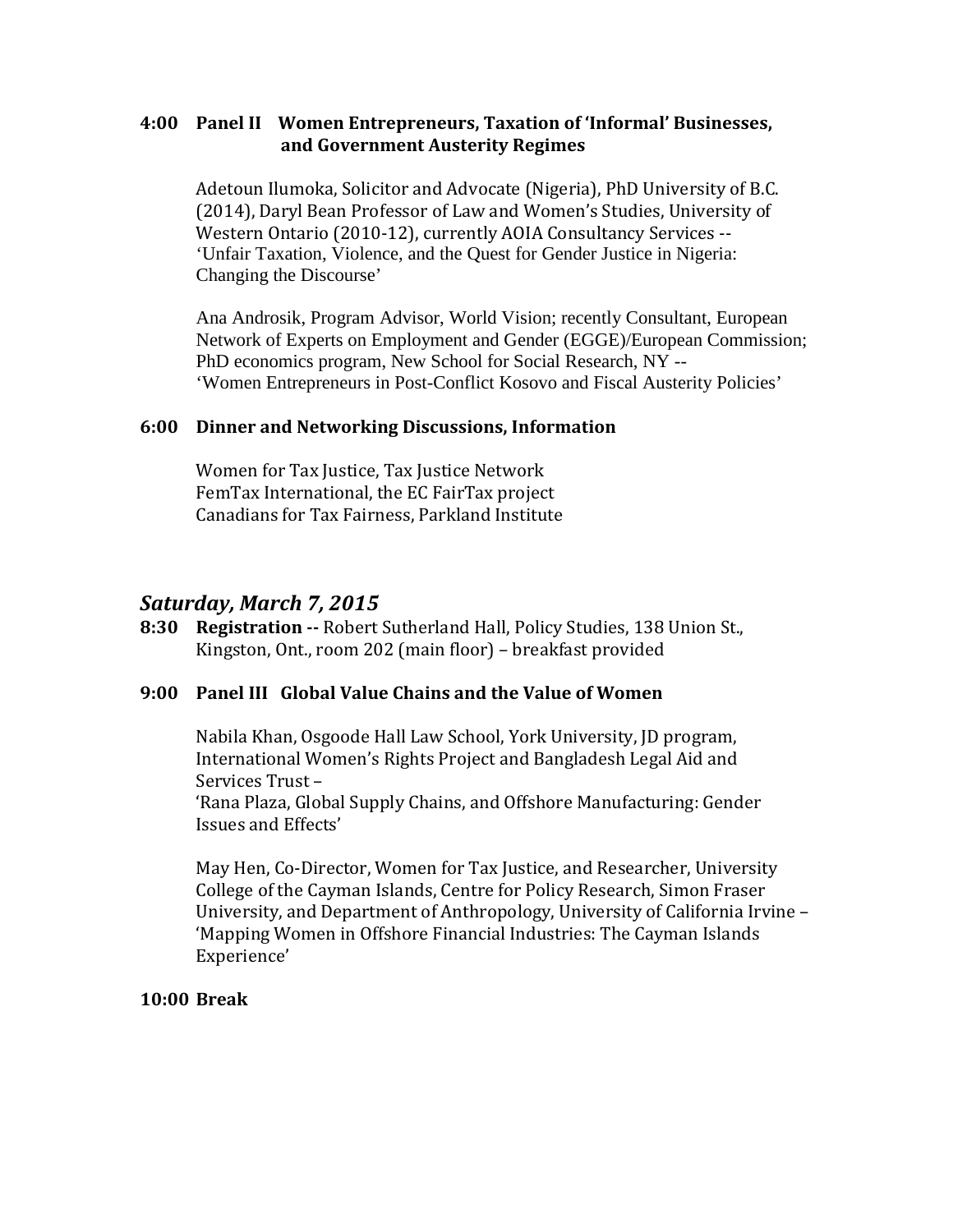# **4:00 Panel II Women Entrepreneurs, Taxation of 'Informal' Businesses, and Government Austerity Regimes**

Adetoun Ilumoka, Solicitor and Advocate (Nigeria), PhD University of B.C. (2014), Daryl Bean Professor of Law and Women's Studies, University of Western Ontario (2010-12), currently AOIA Consultancy Services -- 'Unfair Taxation, Violence, and the Quest for Gender Justice in Nigeria: Changing the Discourse'

Ana Androsik, Program Advisor, World Vision; recently Consultant, European Network of Experts on Employment and Gender (EGGE)/European Commission; PhD economics program, New School for Social Research, NY -- 'Women Entrepreneurs in Post-Conflict Kosovo and Fiscal Austerity Policies'

### **6:00 Dinner and Networking Discussions, Information**

Women for Tax Justice, Tax Justice Network FemTax International, the EC FairTax project Canadians for Tax Fairness, Parkland Institute

# *Saturday, March 7, 2015*

**8:30 Registration --** Robert Sutherland Hall, Policy Studies, 138 Union St., Kingston, Ont., room 202 (main floor) – breakfast provided

### **9:00 Panel III Global Value Chains and the Value of Women**

Nabila Khan, Osgoode Hall Law School, York University, JD program, International Women's Rights Project and Bangladesh Legal Aid and Services Trust –

'Rana Plaza, Global Supply Chains, and Offshore Manufacturing: Gender Issues and Effects'

May Hen, Co-Director, Women for Tax Justice, and Researcher, University College of the Cayman Islands, Centre for Policy Research, Simon Fraser University, and Department of Anthropology, University of California Irvine – 'Mapping Women in Offshore Financial Industries: The Cayman Islands Experience'

#### **10:00 Break**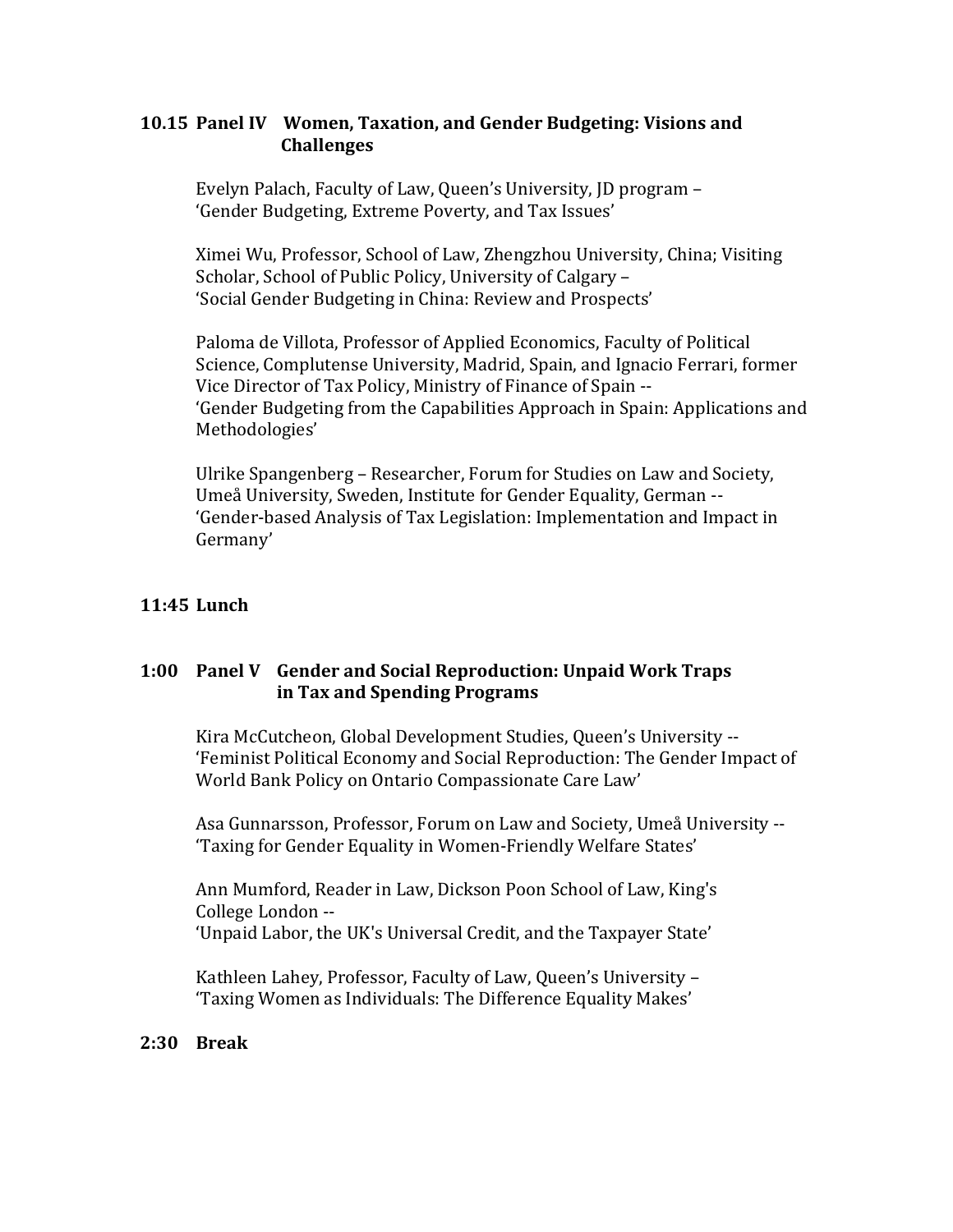# **10.15 Panel IV Women, Taxation, and Gender Budgeting: Visions and Challenges**

Evelyn Palach, Faculty of Law, Queen's University, JD program – 'Gender Budgeting, Extreme Poverty, and Tax Issues'

Ximei Wu, Professor, School of Law, Zhengzhou University, China; Visiting Scholar, School of Public Policy, University of Calgary – 'Social Gender Budgeting in China: Review and Prospects'

Paloma de Villota, Professor of Applied Economics, Faculty of Political Science, Complutense University, Madrid, Spain, and Ignacio Ferrari, former Vice Director of Tax Policy, Ministry of Finance of Spain -- 'Gender Budgeting from the Capabilities Approach in Spain: Applications and Methodologies'

Ulrike Spangenberg – Researcher, Forum for Studies on Law and Society, Umeå University, Sweden, Institute for Gender Equality, German -- 'Gender-based Analysis of Tax Legislation: Implementation and Impact in Germany'

# **11:45 Lunch**

# **1:00 Panel V Gender and Social Reproduction: Unpaid Work Traps in Tax and Spending Programs**

Kira McCutcheon, Global Development Studies, Queen's University -- 'Feminist Political Economy and Social Reproduction: The Gender Impact of World Bank Policy on Ontario Compassionate Care Law'

Asa Gunnarsson, Professor, Forum on Law and Society, Umeå University -- 'Taxing for Gender Equality in Women-Friendly Welfare States'

Ann Mumford, Reader in Law, Dickson Poon School of Law, King's College London -- 'Unpaid Labor, the UK's Universal Credit, and the Taxpayer State'

Kathleen Lahey, Professor, Faculty of Law, Queen's University – 'Taxing Women as Individuals: The Difference Equality Makes'

### **2:30 Break**